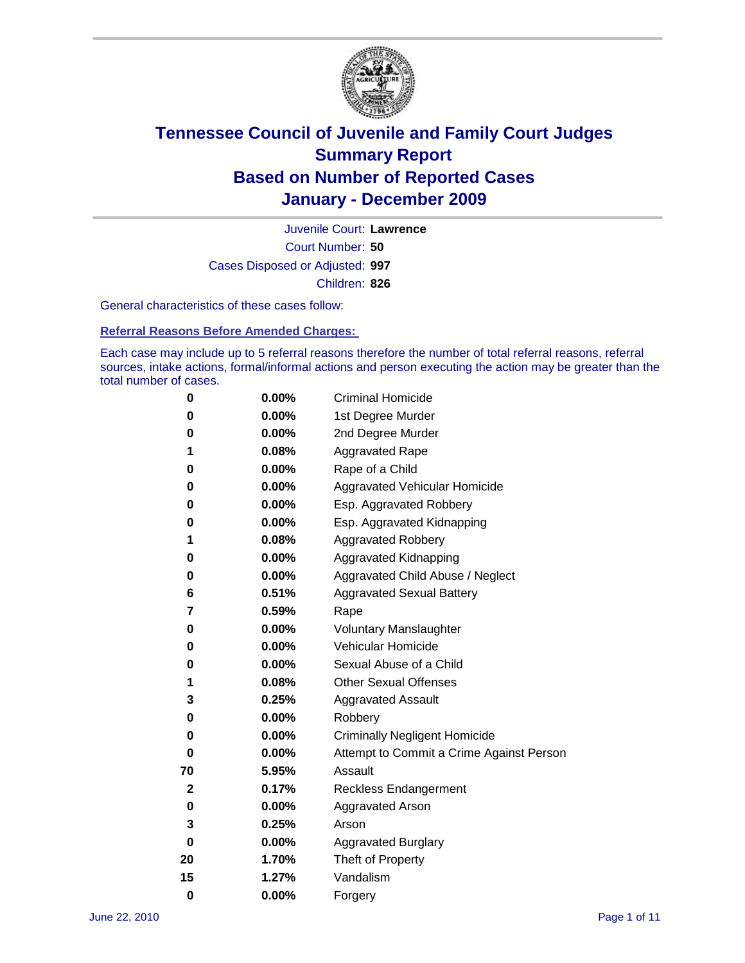

Court Number: **50** Juvenile Court: **Lawrence** Cases Disposed or Adjusted: **997** Children: **826**

General characteristics of these cases follow:

**Referral Reasons Before Amended Charges:** 

Each case may include up to 5 referral reasons therefore the number of total referral reasons, referral sources, intake actions, formal/informal actions and person executing the action may be greater than the total number of cases.

| 0  | 0.00%    | <b>Criminal Homicide</b>                 |
|----|----------|------------------------------------------|
| 0  | 0.00%    | 1st Degree Murder                        |
| 0  | 0.00%    | 2nd Degree Murder                        |
| 1  | 0.08%    | <b>Aggravated Rape</b>                   |
| 0  | 0.00%    | Rape of a Child                          |
| 0  | 0.00%    | Aggravated Vehicular Homicide            |
| 0  | 0.00%    | Esp. Aggravated Robbery                  |
| 0  | 0.00%    | Esp. Aggravated Kidnapping               |
| 1  | 0.08%    | <b>Aggravated Robbery</b>                |
| 0  | 0.00%    | Aggravated Kidnapping                    |
| 0  | 0.00%    | Aggravated Child Abuse / Neglect         |
| 6  | 0.51%    | <b>Aggravated Sexual Battery</b>         |
| 7  | 0.59%    | Rape                                     |
| 0  | $0.00\%$ | <b>Voluntary Manslaughter</b>            |
| 0  | 0.00%    | Vehicular Homicide                       |
| 0  | 0.00%    | Sexual Abuse of a Child                  |
| 1  | 0.08%    | <b>Other Sexual Offenses</b>             |
| 3  | 0.25%    | <b>Aggravated Assault</b>                |
| 0  | $0.00\%$ | Robbery                                  |
| 0  | 0.00%    | <b>Criminally Negligent Homicide</b>     |
| 0  | 0.00%    | Attempt to Commit a Crime Against Person |
| 70 | 5.95%    | Assault                                  |
| 2  | 0.17%    | <b>Reckless Endangerment</b>             |
| 0  | 0.00%    | <b>Aggravated Arson</b>                  |
| 3  | 0.25%    | Arson                                    |
| 0  | 0.00%    | <b>Aggravated Burglary</b>               |
| 20 | 1.70%    | Theft of Property                        |
| 15 | 1.27%    | Vandalism                                |
| 0  | 0.00%    | Forgery                                  |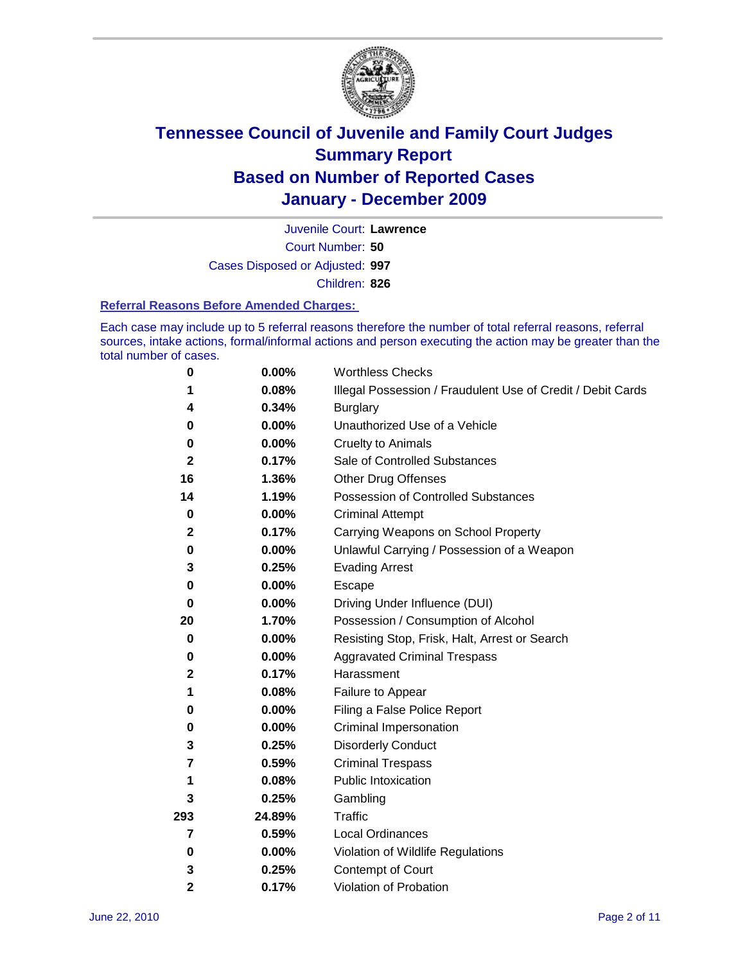

Court Number: **50** Juvenile Court: **Lawrence** Cases Disposed or Adjusted: **997**

Children: **826**

#### **Referral Reasons Before Amended Charges:**

Each case may include up to 5 referral reasons therefore the number of total referral reasons, referral sources, intake actions, formal/informal actions and person executing the action may be greater than the total number of cases.

| $\pmb{0}$    | 0.00%    | <b>Worthless Checks</b>                                     |
|--------------|----------|-------------------------------------------------------------|
| 1            | 0.08%    | Illegal Possession / Fraudulent Use of Credit / Debit Cards |
| 4            | 0.34%    | <b>Burglary</b>                                             |
| 0            | $0.00\%$ | Unauthorized Use of a Vehicle                               |
| 0            | $0.00\%$ | <b>Cruelty to Animals</b>                                   |
| $\mathbf{2}$ | 0.17%    | Sale of Controlled Substances                               |
| 16           | 1.36%    | <b>Other Drug Offenses</b>                                  |
| 14           | 1.19%    | Possession of Controlled Substances                         |
| $\mathbf 0$  | $0.00\%$ | <b>Criminal Attempt</b>                                     |
| $\mathbf 2$  | 0.17%    | Carrying Weapons on School Property                         |
| 0            | 0.00%    | Unlawful Carrying / Possession of a Weapon                  |
| 3            | 0.25%    | <b>Evading Arrest</b>                                       |
| 0            | 0.00%    | Escape                                                      |
| 0            | 0.00%    | Driving Under Influence (DUI)                               |
| 20           | 1.70%    | Possession / Consumption of Alcohol                         |
| 0            | 0.00%    | Resisting Stop, Frisk, Halt, Arrest or Search               |
| 0            | $0.00\%$ | <b>Aggravated Criminal Trespass</b>                         |
| 2            | 0.17%    | Harassment                                                  |
| 1            | 0.08%    | Failure to Appear                                           |
| 0            | $0.00\%$ | Filing a False Police Report                                |
| 0            | 0.00%    | Criminal Impersonation                                      |
| 3            | 0.25%    | <b>Disorderly Conduct</b>                                   |
| 7            | 0.59%    | <b>Criminal Trespass</b>                                    |
| 1            | 0.08%    | Public Intoxication                                         |
| 3            | 0.25%    | Gambling                                                    |
| 293          | 24.89%   | <b>Traffic</b>                                              |
| 7            | 0.59%    | Local Ordinances                                            |
| 0            | 0.00%    | Violation of Wildlife Regulations                           |
| 3            | 0.25%    | Contempt of Court                                           |
| 2            | 0.17%    | Violation of Probation                                      |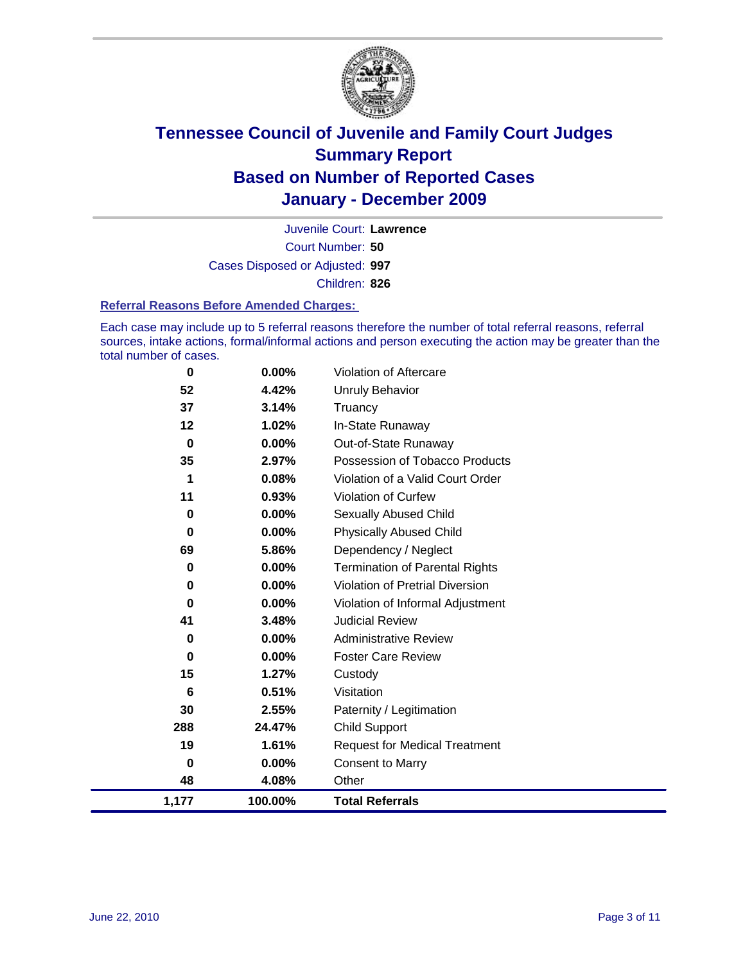

Court Number: **50** Juvenile Court: **Lawrence** Cases Disposed or Adjusted: **997** Children: **826**

#### **Referral Reasons Before Amended Charges:**

Each case may include up to 5 referral reasons therefore the number of total referral reasons, referral sources, intake actions, formal/informal actions and person executing the action may be greater than the total number of cases.

| 1,177       | 100.00%  | <b>Total Referrals</b>                 |
|-------------|----------|----------------------------------------|
| 48          | 4.08%    | Other                                  |
| 0           | 0.00%    | <b>Consent to Marry</b>                |
| 19          | 1.61%    | <b>Request for Medical Treatment</b>   |
| 288         | 24.47%   | <b>Child Support</b>                   |
| 30          | 2.55%    | Paternity / Legitimation               |
| 6           | 0.51%    | Visitation                             |
| 15          | 1.27%    | Custody                                |
| 0           | 0.00%    | <b>Foster Care Review</b>              |
| 0           | $0.00\%$ | <b>Administrative Review</b>           |
| 41          | 3.48%    | <b>Judicial Review</b>                 |
| 0           | 0.00%    | Violation of Informal Adjustment       |
| 0           | 0.00%    | <b>Violation of Pretrial Diversion</b> |
| 0           | 0.00%    | <b>Termination of Parental Rights</b>  |
| 69          | 5.86%    | Dependency / Neglect                   |
| $\bf{0}$    | 0.00%    | <b>Physically Abused Child</b>         |
| 0           | 0.00%    | <b>Sexually Abused Child</b>           |
| 11          | 0.93%    | <b>Violation of Curfew</b>             |
| 1           | 0.08%    | Violation of a Valid Court Order       |
| 35          | 2.97%    | Possession of Tobacco Products         |
| $\mathbf 0$ | $0.00\%$ | Out-of-State Runaway                   |
| 12          | 1.02%    | In-State Runaway                       |
| 37          | 3.14%    | Truancy                                |
| 52          | 4.42%    | Unruly Behavior                        |
| $\mathbf 0$ | 0.00%    | Violation of Aftercare                 |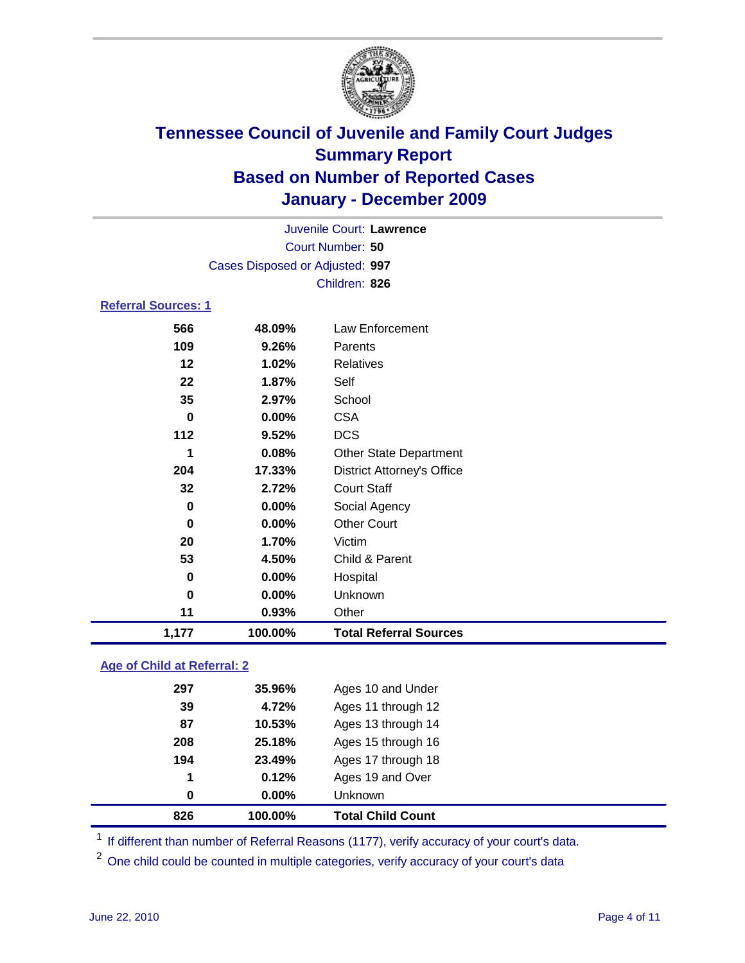

| Juvenile Court: Lawrence |                                 |                               |  |  |  |  |  |
|--------------------------|---------------------------------|-------------------------------|--|--|--|--|--|
|                          | Court Number: 50                |                               |  |  |  |  |  |
|                          | Cases Disposed or Adjusted: 997 |                               |  |  |  |  |  |
|                          |                                 | Children: 826                 |  |  |  |  |  |
| Referral Sources: 1      |                                 |                               |  |  |  |  |  |
| 566                      | 48.09%                          | Law Enforcement               |  |  |  |  |  |
| 109                      | 9.26%                           | Parents                       |  |  |  |  |  |
| $12 \,$                  | $1.02\%$                        | <b>Relatives</b>              |  |  |  |  |  |
| 22                       | 1.87%                           | Self                          |  |  |  |  |  |
| 35                       | 2.97%                           | School                        |  |  |  |  |  |
| 0                        | $0.00\%$                        | <b>CSA</b>                    |  |  |  |  |  |
| 112                      | 9.52%                           | <b>DCS</b>                    |  |  |  |  |  |
| 1                        | 0.08%                           | <b>Other State Department</b> |  |  |  |  |  |

| 1,177 | 100.00%  | <b>Total Referral Sources</b>     |
|-------|----------|-----------------------------------|
| 11    | 0.93%    | Other                             |
| 0     | 0.00%    | Unknown                           |
| 0     | 0.00%    | Hospital                          |
| 53    | 4.50%    | Child & Parent                    |
| 20    | 1.70%    | Victim                            |
| 0     | $0.00\%$ | <b>Other Court</b>                |
| 0     | $0.00\%$ | Social Agency                     |
| 32    | 2.72%    | <b>Court Staff</b>                |
| 204   | 17.33%   | <b>District Attorney's Office</b> |
|       |          |                                   |

### **Age of Child at Referral: 2**

| 826 | 100.00%  | <b>Total Child Count</b> |
|-----|----------|--------------------------|
| 0   | $0.00\%$ | Unknown                  |
| 1   | 0.12%    | Ages 19 and Over         |
| 194 | 23.49%   | Ages 17 through 18       |
| 208 | 25.18%   | Ages 15 through 16       |
| 87  | 10.53%   | Ages 13 through 14       |
| 39  | 4.72%    | Ages 11 through 12       |
| 297 | 35.96%   | Ages 10 and Under        |
|     |          |                          |

<sup>1</sup> If different than number of Referral Reasons (1177), verify accuracy of your court's data.

<sup>2</sup> One child could be counted in multiple categories, verify accuracy of your court's data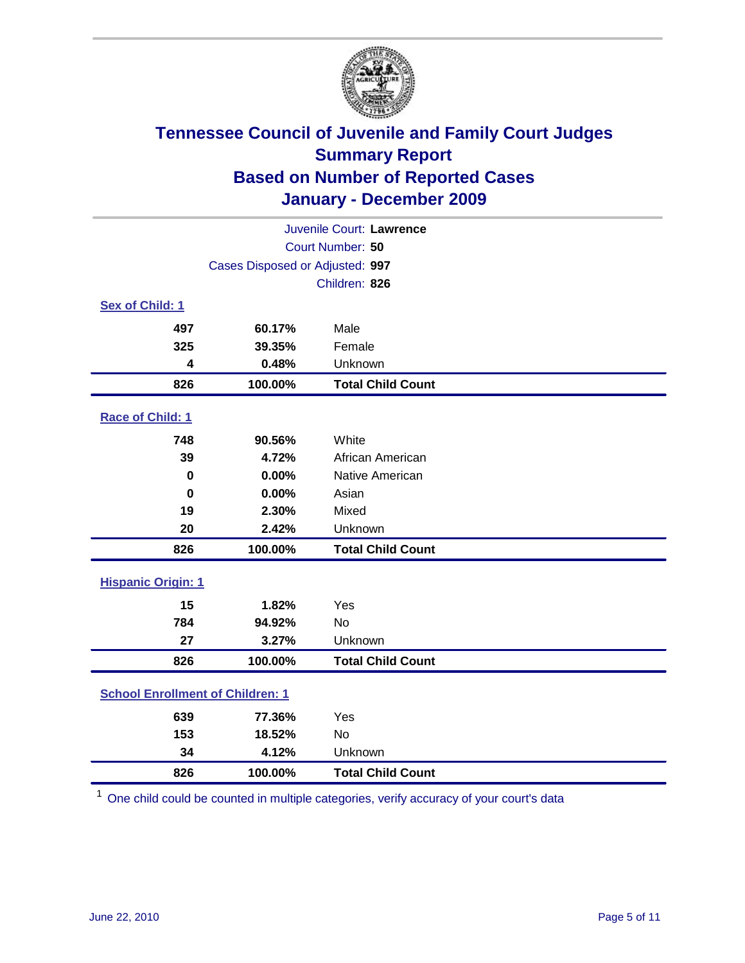

| Juvenile Court: Lawrence                |                                 |                          |  |  |  |
|-----------------------------------------|---------------------------------|--------------------------|--|--|--|
|                                         | Court Number: 50                |                          |  |  |  |
|                                         | Cases Disposed or Adjusted: 997 |                          |  |  |  |
|                                         |                                 | Children: 826            |  |  |  |
| Sex of Child: 1                         |                                 |                          |  |  |  |
| 497                                     | 60.17%                          | Male                     |  |  |  |
| 325                                     | 39.35%                          | Female                   |  |  |  |
| 4                                       | 0.48%                           | Unknown                  |  |  |  |
| 826                                     | 100.00%                         | <b>Total Child Count</b> |  |  |  |
| Race of Child: 1                        |                                 |                          |  |  |  |
| 748                                     | 90.56%                          | White                    |  |  |  |
| 39                                      | 4.72%                           | African American         |  |  |  |
| 0                                       | 0.00%                           | Native American          |  |  |  |
| $\bf{0}$                                | 0.00%                           | Asian                    |  |  |  |
| 19                                      | 2.30%                           | Mixed                    |  |  |  |
| 20                                      | 2.42%                           | Unknown                  |  |  |  |
| 826                                     | 100.00%                         | <b>Total Child Count</b> |  |  |  |
| <b>Hispanic Origin: 1</b>               |                                 |                          |  |  |  |
| 15                                      | 1.82%                           | Yes                      |  |  |  |
| 784                                     | 94.92%                          | <b>No</b>                |  |  |  |
| 27                                      | 3.27%                           | Unknown                  |  |  |  |
| 826                                     | 100.00%                         | <b>Total Child Count</b> |  |  |  |
| <b>School Enrollment of Children: 1</b> |                                 |                          |  |  |  |
| 639                                     | 77.36%                          | Yes                      |  |  |  |
| 153                                     | 18.52%                          | No                       |  |  |  |
| 34                                      | 4.12%                           | Unknown                  |  |  |  |
| 826                                     | 100.00%                         | <b>Total Child Count</b> |  |  |  |

One child could be counted in multiple categories, verify accuracy of your court's data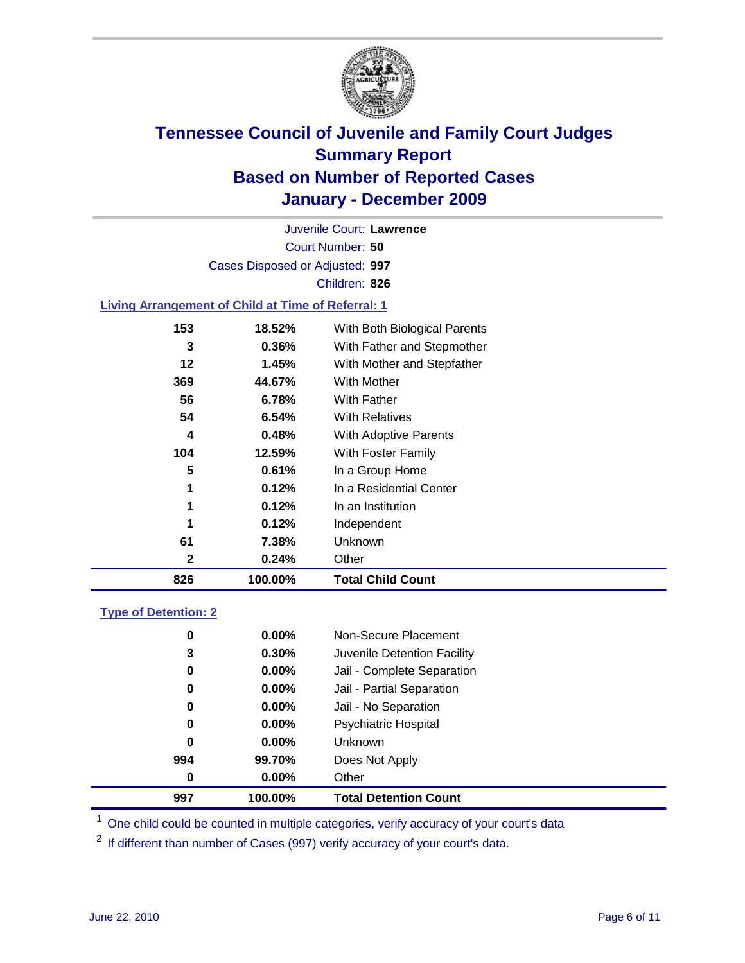

Court Number: **50** Juvenile Court: **Lawrence** Cases Disposed or Adjusted: **997** Children: **826**

### **Living Arrangement of Child at Time of Referral: 1**

| 826 | 100.00%  | <b>Total Child Count</b>     |
|-----|----------|------------------------------|
| 2   | 0.24%    | Other                        |
| 61  | 7.38%    | Unknown                      |
| 1   | 0.12%    | Independent                  |
| 1   | 0.12%    | In an Institution            |
| 1   | 0.12%    | In a Residential Center      |
| 5   | 0.61%    | In a Group Home              |
| 104 | 12.59%   | With Foster Family           |
| 4   | 0.48%    | With Adoptive Parents        |
| 54  | $6.54\%$ | <b>With Relatives</b>        |
| 56  | 6.78%    | <b>With Father</b>           |
| 369 | 44.67%   | With Mother                  |
| 12  | 1.45%    | With Mother and Stepfather   |
| 3   | 0.36%    | With Father and Stepmother   |
| 153 | 18.52%   | With Both Biological Parents |
|     |          |                              |

### **Type of Detention: 2**

| 997      | 100.00%  | <b>Total Detention Count</b> |  |
|----------|----------|------------------------------|--|
| 0        | $0.00\%$ | Other                        |  |
| 994      | 99.70%   | Does Not Apply               |  |
| 0        | $0.00\%$ | Unknown                      |  |
| 0        | 0.00%    | <b>Psychiatric Hospital</b>  |  |
| $\bf{0}$ | 0.00%    | Jail - No Separation         |  |
| 0        | $0.00\%$ | Jail - Partial Separation    |  |
| 0        | $0.00\%$ | Jail - Complete Separation   |  |
| 3        | 0.30%    | Juvenile Detention Facility  |  |
| 0        | $0.00\%$ | Non-Secure Placement         |  |
|          |          |                              |  |

<sup>1</sup> One child could be counted in multiple categories, verify accuracy of your court's data

<sup>2</sup> If different than number of Cases (997) verify accuracy of your court's data.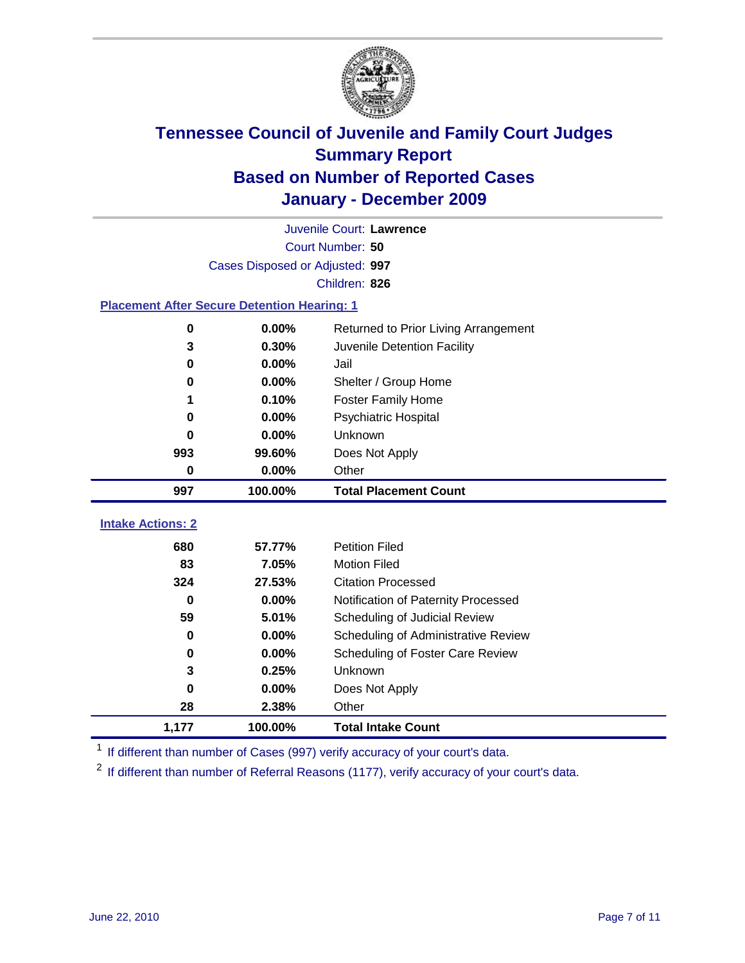

|                                                    | Juvenile Court: Lawrence        |                                      |  |  |  |  |
|----------------------------------------------------|---------------------------------|--------------------------------------|--|--|--|--|
|                                                    | Court Number: 50                |                                      |  |  |  |  |
|                                                    | Cases Disposed or Adjusted: 997 |                                      |  |  |  |  |
|                                                    |                                 | Children: 826                        |  |  |  |  |
| <b>Placement After Secure Detention Hearing: 1</b> |                                 |                                      |  |  |  |  |
| 0                                                  | 0.00%                           | Returned to Prior Living Arrangement |  |  |  |  |
| 3                                                  | 0.30%                           | Juvenile Detention Facility          |  |  |  |  |
| 0                                                  | 0.00%                           | Jail                                 |  |  |  |  |
| 0                                                  | 0.00%                           | Shelter / Group Home                 |  |  |  |  |
| 1                                                  | 0.10%                           | <b>Foster Family Home</b>            |  |  |  |  |
| 0                                                  | 0.00%                           | Psychiatric Hospital                 |  |  |  |  |
| 0                                                  | 0.00%                           | Unknown                              |  |  |  |  |
| 993                                                | 99.60%                          | Does Not Apply                       |  |  |  |  |
| 0                                                  | 0.00%                           | Other                                |  |  |  |  |
| 997                                                | 100.00%                         | <b>Total Placement Count</b>         |  |  |  |  |
|                                                    |                                 |                                      |  |  |  |  |
| <b>Intake Actions: 2</b>                           |                                 |                                      |  |  |  |  |
| 680                                                | 57.77%                          | <b>Petition Filed</b>                |  |  |  |  |
| 83                                                 | 7.05%                           | <b>Motion Filed</b>                  |  |  |  |  |
| 324                                                | 27.53%                          | <b>Citation Processed</b>            |  |  |  |  |
| $\bf{0}$                                           | 0.00%                           | Notification of Paternity Processed  |  |  |  |  |
| 59                                                 | 5.01%                           | Scheduling of Judicial Review        |  |  |  |  |
| 0                                                  | 0.00%                           | Scheduling of Administrative Review  |  |  |  |  |
| 0                                                  | 0.00%                           | Scheduling of Foster Care Review     |  |  |  |  |
| 3                                                  | 0.25%                           | Unknown                              |  |  |  |  |
| 0                                                  | 0.00%                           | Does Not Apply                       |  |  |  |  |
| 28                                                 | 2.38%                           | Other                                |  |  |  |  |
| 1,177                                              | 100.00%                         | <b>Total Intake Count</b>            |  |  |  |  |

<sup>1</sup> If different than number of Cases (997) verify accuracy of your court's data.

<sup>2</sup> If different than number of Referral Reasons (1177), verify accuracy of your court's data.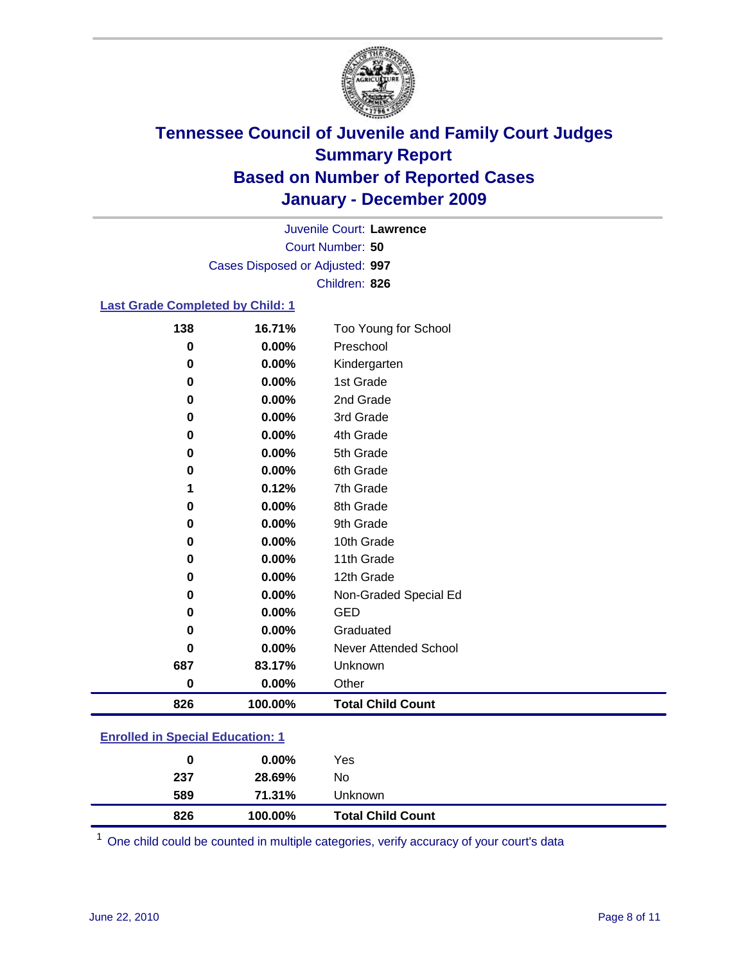

Court Number: **50** Juvenile Court: **Lawrence** Cases Disposed or Adjusted: **997** Children: **826**

### **Last Grade Completed by Child: 1**

| Preschool<br>Kindergarten<br>1st Grade<br>2nd Grade<br>3rd Grade<br>4th Grade<br>5th Grade<br>6th Grade<br>7th Grade<br>8th Grade<br>9th Grade<br>10th Grade<br>11th Grade |
|----------------------------------------------------------------------------------------------------------------------------------------------------------------------------|
|                                                                                                                                                                            |
|                                                                                                                                                                            |
|                                                                                                                                                                            |
|                                                                                                                                                                            |
|                                                                                                                                                                            |
|                                                                                                                                                                            |
|                                                                                                                                                                            |
|                                                                                                                                                                            |
|                                                                                                                                                                            |
|                                                                                                                                                                            |
|                                                                                                                                                                            |
|                                                                                                                                                                            |
|                                                                                                                                                                            |
| 12th Grade                                                                                                                                                                 |
| Non-Graded Special Ed                                                                                                                                                      |
| <b>GED</b>                                                                                                                                                                 |
| Graduated                                                                                                                                                                  |
| <b>Never Attended School</b>                                                                                                                                               |
| Unknown                                                                                                                                                                    |
| Other                                                                                                                                                                      |
| <b>Total Child Count</b>                                                                                                                                                   |
|                                                                                                                                                                            |

### **Enrolled in Special Education: 1**

| 0   | $0.00\%$ | Yes                      |
|-----|----------|--------------------------|
| 237 | 28.69%   | No                       |
| 589 | 71.31%   | <b>Unknown</b>           |
| 826 | 100.00%  | <b>Total Child Count</b> |

One child could be counted in multiple categories, verify accuracy of your court's data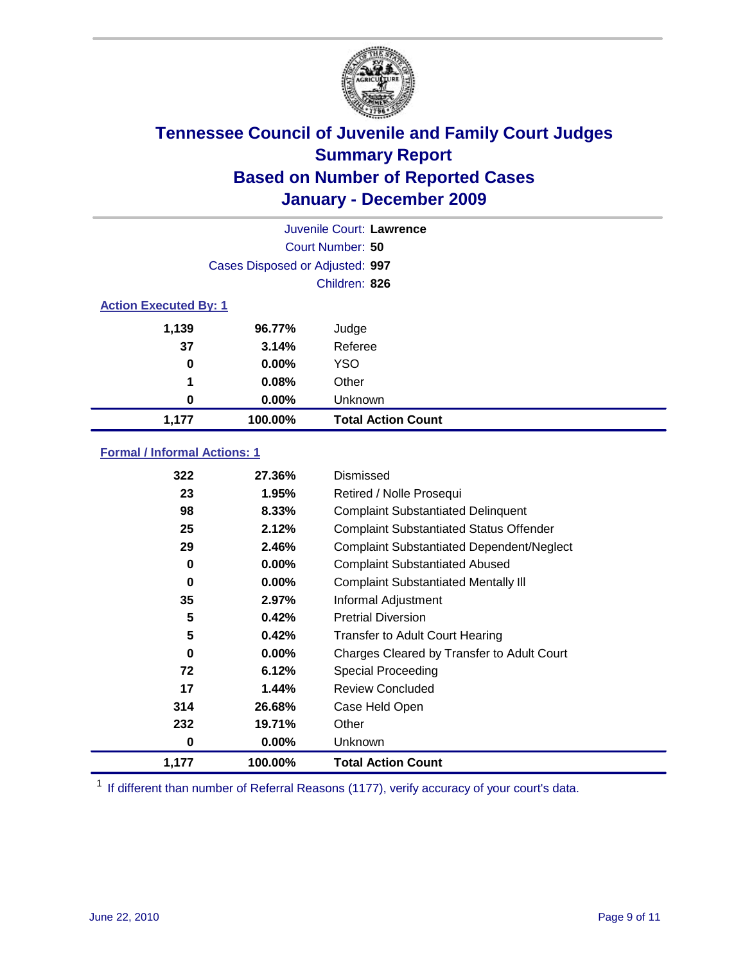

|                              |                                 | Juvenile Court: Lawrence  |
|------------------------------|---------------------------------|---------------------------|
|                              |                                 | Court Number: 50          |
|                              | Cases Disposed or Adjusted: 997 |                           |
|                              |                                 | Children: 826             |
| <b>Action Executed By: 1</b> |                                 |                           |
| 1,139                        | 96.77%                          | Judge                     |
| 37                           | 3.14%                           | Referee                   |
| 0                            | $0.00\%$                        | <b>YSO</b>                |
| 1                            | 0.08%                           | Other                     |
| 0                            | $0.00\%$                        | Unknown                   |
| 1,177                        | 100.00%                         | <b>Total Action Count</b> |

### **Formal / Informal Actions: 1**

| 322   | 27.36%   | Dismissed                                        |
|-------|----------|--------------------------------------------------|
| 23    | 1.95%    | Retired / Nolle Prosequi                         |
| 98    | 8.33%    | <b>Complaint Substantiated Delinquent</b>        |
| 25    | 2.12%    | <b>Complaint Substantiated Status Offender</b>   |
| 29    | 2.46%    | <b>Complaint Substantiated Dependent/Neglect</b> |
| 0     | $0.00\%$ | <b>Complaint Substantiated Abused</b>            |
| 0     | $0.00\%$ | <b>Complaint Substantiated Mentally III</b>      |
| 35    | 2.97%    | Informal Adjustment                              |
| 5     | 0.42%    | <b>Pretrial Diversion</b>                        |
| 5     | 0.42%    | <b>Transfer to Adult Court Hearing</b>           |
| 0     | $0.00\%$ | Charges Cleared by Transfer to Adult Court       |
| 72    | 6.12%    | <b>Special Proceeding</b>                        |
| 17    | 1.44%    | <b>Review Concluded</b>                          |
| 314   | 26.68%   | Case Held Open                                   |
| 232   | 19.71%   | Other                                            |
| 0     | 0.00%    | <b>Unknown</b>                                   |
| 1,177 | 100.00%  | <b>Total Action Count</b>                        |

<sup>1</sup> If different than number of Referral Reasons (1177), verify accuracy of your court's data.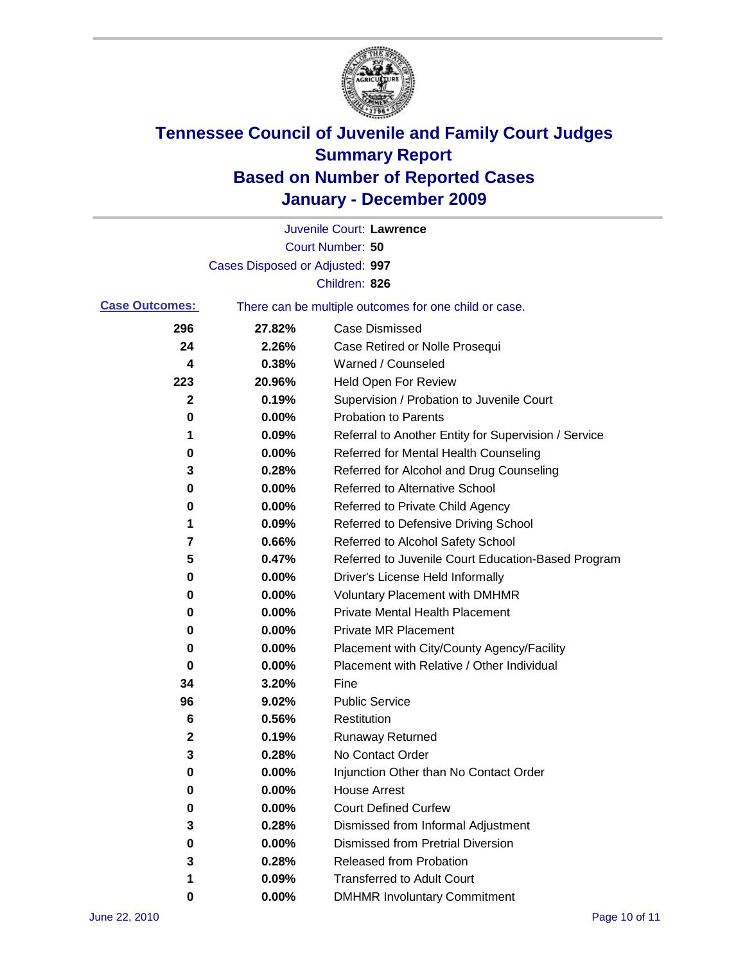

|                       |                                                       | Juvenile Court: Lawrence                             |
|-----------------------|-------------------------------------------------------|------------------------------------------------------|
|                       |                                                       | Court Number: 50                                     |
|                       | Cases Disposed or Adjusted: 997                       |                                                      |
|                       |                                                       | Children: 826                                        |
| <b>Case Outcomes:</b> | There can be multiple outcomes for one child or case. |                                                      |
| 296                   | 27.82%                                                | <b>Case Dismissed</b>                                |
| 24                    | 2.26%                                                 | Case Retired or Nolle Prosequi                       |
| 4                     | 0.38%                                                 | Warned / Counseled                                   |
| 223                   | 20.96%                                                | Held Open For Review                                 |
| $\mathbf{2}$          | 0.19%                                                 | Supervision / Probation to Juvenile Court            |
| 0                     | 0.00%                                                 | <b>Probation to Parents</b>                          |
| 1                     | 0.09%                                                 | Referral to Another Entity for Supervision / Service |
| 0                     | 0.00%                                                 | Referred for Mental Health Counseling                |
| 3                     | 0.28%                                                 | Referred for Alcohol and Drug Counseling             |
| 0                     | 0.00%                                                 | Referred to Alternative School                       |
| 0                     | 0.00%                                                 | Referred to Private Child Agency                     |
| 1                     | 0.09%                                                 | Referred to Defensive Driving School                 |
| 7                     | 0.66%                                                 | Referred to Alcohol Safety School                    |
| 5                     | 0.47%                                                 | Referred to Juvenile Court Education-Based Program   |
| 0                     | 0.00%                                                 | Driver's License Held Informally                     |
| 0                     | 0.00%                                                 | <b>Voluntary Placement with DMHMR</b>                |
| 0                     | 0.00%                                                 | <b>Private Mental Health Placement</b>               |
| 0                     | 0.00%                                                 | <b>Private MR Placement</b>                          |
| 0                     | 0.00%                                                 | Placement with City/County Agency/Facility           |
| 0                     | 0.00%                                                 | Placement with Relative / Other Individual           |
| 34                    | 3.20%                                                 | Fine                                                 |
| 96                    | 9.02%                                                 | <b>Public Service</b>                                |
| 6                     | 0.56%                                                 | Restitution                                          |
| 2                     | 0.19%                                                 | <b>Runaway Returned</b>                              |
| 3                     | 0.28%                                                 | No Contact Order                                     |
| 0                     | 0.00%                                                 | Injunction Other than No Contact Order               |
| 0                     | 0.00%                                                 | <b>House Arrest</b>                                  |
| 0                     | 0.00%                                                 | <b>Court Defined Curfew</b>                          |
| 3                     | 0.28%                                                 | Dismissed from Informal Adjustment                   |
| 0                     | 0.00%                                                 | <b>Dismissed from Pretrial Diversion</b>             |
| 3                     | 0.28%                                                 | Released from Probation                              |
| 1                     | 0.09%                                                 | <b>Transferred to Adult Court</b>                    |
| 0                     | 0.00%                                                 | <b>DMHMR Involuntary Commitment</b>                  |